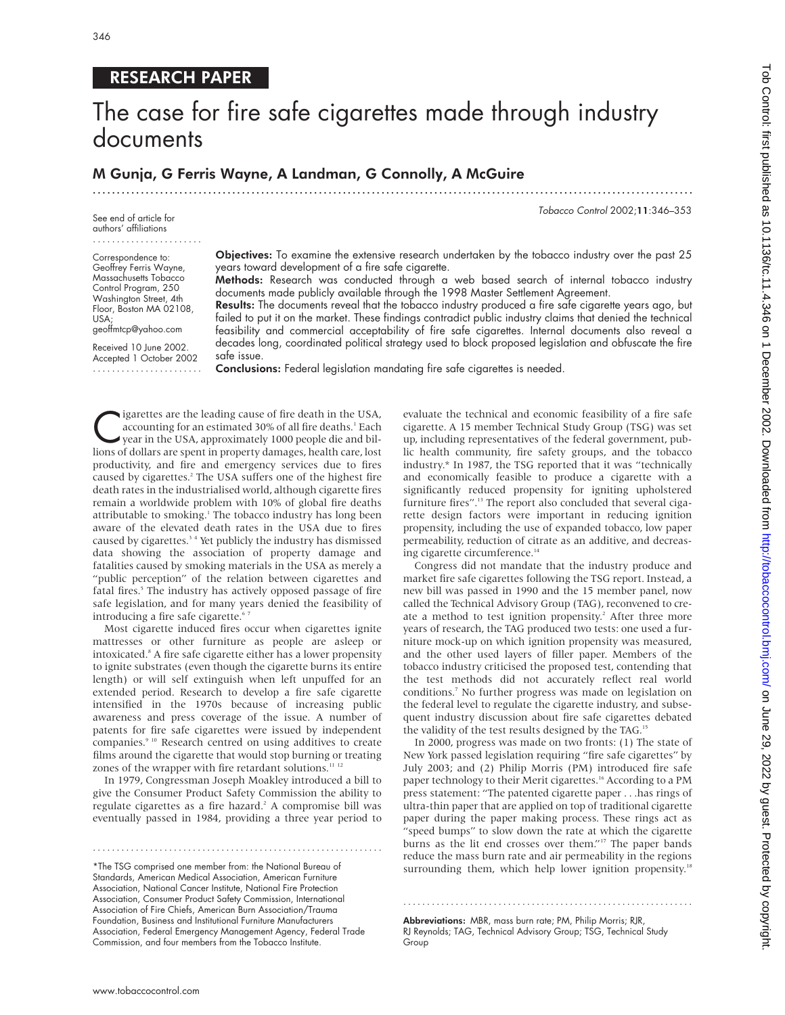### RESEARCH PAPER

## The case for fire safe cigarettes made through industry documents

.............................................................................................................................

#### M Gunja, G Ferris Wayne, A Landman, G Connolly, A McGuire

See end of article for authors' affiliations .......................

Correspondence to: Geoffrey Ferris Wayne, Massachusetts Tobacco Control Program, 250 Washington Street, 4th Floor, Boston MA 02108, USA; geoffmtcp@yahoo.com

Received 10 June 2002.

Objectives: To examine the extensive research undertaken by the tobacco industry over the past 25 years toward development of a fire safe cigarette.

Methods: Research was conducted through a web based search of internal tobacco industry documents made publicly available through the 1998 Master Settlement Agreement.

Results: The documents reveal that the tobacco industry produced a fire safe cigarette years ago, but failed to put it on the market. These findings contradict public industry claims that denied the technical feasibility and commercial acceptability of fire safe cigarettes. Internal documents also reveal a decades long, coordinated political strategy used to block proposed legislation and obfuscate the fire safe issue.

Conclusions: Federal legislation mandating fire safe cigarettes is needed. Accepted 1 October 2002 .......................

Cigarettes are the leading cause of fire death in the USA,<br>accounting for an estimated 30% of all fire deaths.<sup>1</sup> Each<br>year in the USA, approximately 1000 people die and bil-<br>lions of dollars are spent in property damages, accounting for an estimated 30% of all fire deaths.<sup>1</sup> Each lions of dollars are spent in property damages, health care, lost productivity, and fire and emergency services due to fires caused by cigarettes.<sup>2</sup> The USA suffers one of the highest fire death rates in the industrialised world, although cigarette fires remain a worldwide problem with 10% of global fire deaths attributable to smoking.<sup>1</sup> The tobacco industry has long been aware of the elevated death rates in the USA due to fires caused by cigarettes.<sup>34</sup> Yet publicly the industry has dismissed data showing the association of property damage and fatalities caused by smoking materials in the USA as merely a "public perception" of the relation between cigarettes and fatal fires.<sup>5</sup> The industry has actively opposed passage of fire safe legislation, and for many years denied the feasibility of introducing a fire safe cigarette.<sup>6</sup>

Most cigarette induced fires occur when cigarettes ignite mattresses or other furniture as people are asleep or intoxicated.8 A fire safe cigarette either has a lower propensity to ignite substrates (even though the cigarette burns its entire length) or will self extinguish when left unpuffed for an extended period. Research to develop a fire safe cigarette intensified in the 1970s because of increasing public awareness and press coverage of the issue. A number of patents for fire safe cigarettes were issued by independent companies.<sup>9 10</sup> Research centred on using additives to create films around the cigarette that would stop burning or treating zones of the wrapper with fire retardant solutions.<sup>11</sup> <sup>12</sup>

In 1979, Congressman Joseph Moakley introduced a bill to give the Consumer Product Safety Commission the ability to regulate cigarettes as a fire hazard.<sup>2</sup> A compromise bill was eventually passed in 1984, providing a three year period to

............................................................. \*The TSG comprised one member from: the National Bureau of Standards, American Medical Association, American Furniture Association, National Cancer Institute, National Fire Protection Association, Consumer Product Safety Commission, International Association of Fire Chiefs, American Burn Association/Trauma Foundation, Business and Institutional Furniture Manufacturers Association, Federal Emergency Management Agency, Federal Trade Commission, and four members from the Tobacco Institute.

evaluate the technical and economic feasibility of a fire safe cigarette. A 15 member Technical Study Group (TSG) was set up, including representatives of the federal government, public health community, fire safety groups, and the tobacco industry.\* In 1987, the TSG reported that it was "technically and economically feasible to produce a cigarette with a significantly reduced propensity for igniting upholstered furniture fires".<sup>13</sup> The report also concluded that several cigarette design factors were important in reducing ignition propensity, including the use of expanded tobacco, low paper permeability, reduction of citrate as an additive, and decreasing cigarette circumference.<sup>14</sup>

Congress did not mandate that the industry produce and market fire safe cigarettes following the TSG report. Instead, a new bill was passed in 1990 and the 15 member panel, now called the Technical Advisory Group (TAG), reconvened to create a method to test ignition propensity.<sup>2</sup> After three more years of research, the TAG produced two tests: one used a furniture mock-up on which ignition propensity was measured, and the other used layers of filler paper. Members of the tobacco industry criticised the proposed test, contending that the test methods did not accurately reflect real world conditions.7 No further progress was made on legislation on the federal level to regulate the cigarette industry, and subsequent industry discussion about fire safe cigarettes debated the validity of the test results designed by the TAG.<sup>15</sup>

In 2000, progress was made on two fronts: (1) The state of New York passed legislation requiring "fire safe cigarettes" by July 2003; and (2) Philip Morris (PM) introduced fire safe paper technology to their Merit cigarettes.<sup>16</sup> According to a PM press statement: "The patented cigarette paper . . .has rings of ultra-thin paper that are applied on top of traditional cigarette paper during the paper making process. These rings act as "speed bumps" to slow down the rate at which the cigarette burns as the lit end crosses over them."<sup>17</sup> The paper bands reduce the mass burn rate and air permeability in the regions surrounding them, which help lower ignition propensity.<sup>18</sup>

Abbreviations: MBR, mass burn rate; PM, Philip Morris; RJR, RJ Reynolds; TAG, Technical Advisory Group; TSG, Technical Study Group

.............................................................

Tobacco Control 2002;11:346–353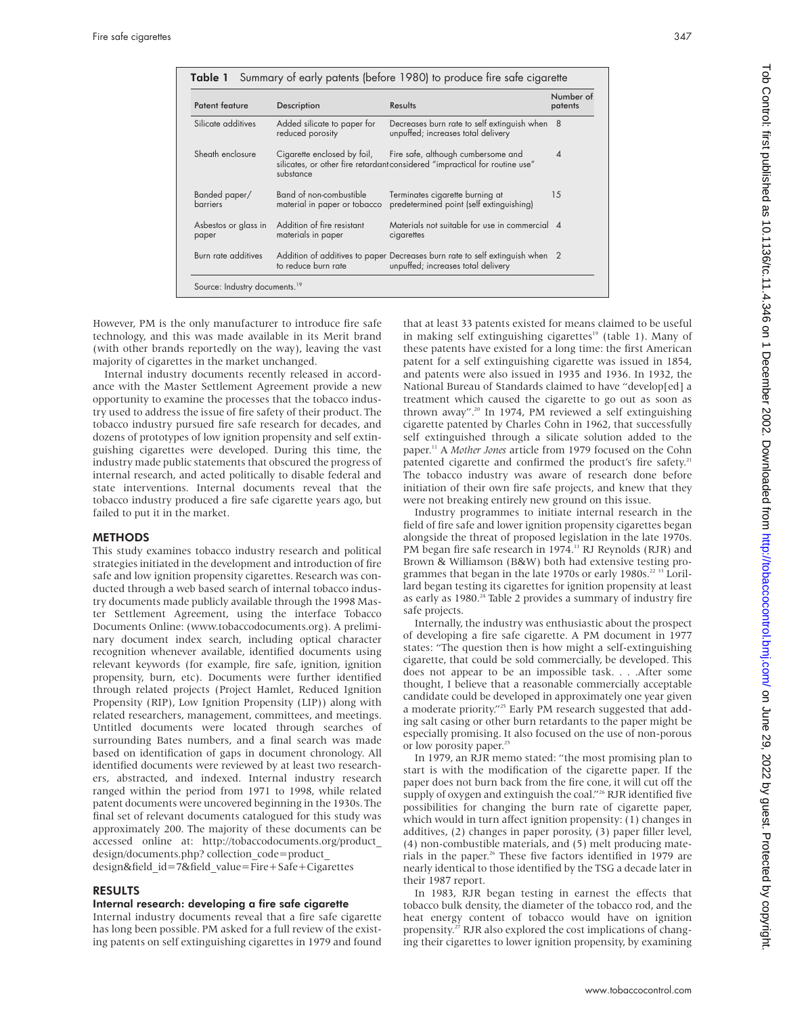| Patent feature                            | Description                                             | Results                                                                                                                                       | Number of<br>patents |
|-------------------------------------------|---------------------------------------------------------|-----------------------------------------------------------------------------------------------------------------------------------------------|----------------------|
| Silicate additives                        | Added silicate to paper for<br>reduced porosity         | Decreases burn rate to self extinguish when 8<br>unpuffed; increases total delivery                                                           |                      |
| Sheath enclosure                          | substance                                               | Cigarette enclosed by foil, Fire safe, although cumbersome and<br>silicates, or other fire retardant considered "impractical for routine use" | $\overline{4}$       |
| Banded paper/<br>barriers                 | Band of non-combustible<br>material in paper or tobacco | Terminates cigarette burning at<br>predetermined point (self extinguishing)                                                                   | 15                   |
| Asbestos or glass in<br>paper             | Addition of fire resistant<br>materials in paper        | Materials not suitable for use in commercial 4<br>cigarettes                                                                                  |                      |
| Burn rate additives                       | to reduce burn rate                                     | Addition of additives to paper Decreases burn rate to self extinguish when 2<br>unpuffed; increases total delivery                            |                      |
| Source: Industry documents. <sup>19</sup> |                                                         |                                                                                                                                               |                      |

However, PM is the only manufacturer to introduce fire safe technology, and this was made available in its Merit brand (with other brands reportedly on the way), leaving the vast majority of cigarettes in the market unchanged.

Internal industry documents recently released in accordance with the Master Settlement Agreement provide a new opportunity to examine the processes that the tobacco industry used to address the issue of fire safety of their product. The tobacco industry pursued fire safe research for decades, and dozens of prototypes of low ignition propensity and self extinguishing cigarettes were developed. During this time, the industry made public statements that obscured the progress of internal research, and acted politically to disable federal and state interventions. Internal documents reveal that the tobacco industry produced a fire safe cigarette years ago, but failed to put it in the market.

#### **METHODS**

This study examines tobacco industry research and political strategies initiated in the development and introduction of fire safe and low ignition propensity cigarettes. Research was conducted through a web based search of internal tobacco industry documents made publicly available through the 1998 Master Settlement Agreement, using the interface Tobacco Documents Online: (www.tobaccodocuments.org). A preliminary document index search, including optical character recognition whenever available, identified documents using relevant keywords (for example, fire safe, ignition, ignition propensity, burn, etc). Documents were further identified through related projects (Project Hamlet, Reduced Ignition Propensity (RIP), Low Ignition Propensity (LIP)) along with related researchers, management, committees, and meetings. Untitled documents were located through searches of surrounding Bates numbers, and a final search was made based on identification of gaps in document chronology. All identified documents were reviewed by at least two researchers, abstracted, and indexed. Internal industry research ranged within the period from 1971 to 1998, while related patent documents were uncovered beginning in the 1930s. The final set of relevant documents catalogued for this study was approximately 200. The majority of these documents can be accessed online at: http://tobaccodocuments.org/product\_ design/documents.php? collection\_code=product\_ design&field\_id=7&field\_value=Fire+Safe+Cigarettes

#### RESULTS

#### Internal research: developing a fire safe cigarette

Internal industry documents reveal that a fire safe cigarette has long been possible. PM asked for a full review of the existing patents on self extinguishing cigarettes in 1979 and found

that at least 33 patents existed for means claimed to be useful in making self extinguishing cigarettes<sup>19</sup> (table 1). Many of these patents have existed for a long time: the first American patent for a self extinguishing cigarette was issued in 1854, and patents were also issued in 1935 and 1936. In 1932, the National Bureau of Standards claimed to have "develop[ed] a treatment which caused the cigarette to go out as soon as thrown away".20 In 1974, PM reviewed a self extinguishing cigarette patented by Charles Cohn in 1962, that successfully self extinguished through a silicate solution added to the paper.11 A *Mother Jones* article from 1979 focused on the Cohn patented cigarette and confirmed the product's fire safety.<sup>21</sup> The tobacco industry was aware of research done before initiation of their own fire safe projects, and knew that they were not breaking entirely new ground on this issue.

Industry programmes to initiate internal research in the field of fire safe and lower ignition propensity cigarettes began alongside the threat of proposed legislation in the late 1970s. PM began fire safe research in 1974.<sup>11</sup> RJ Reynolds (RJR) and Brown & Williamson (B&W) both had extensive testing programmes that began in the late 1970s or early 1980s.<sup>22 33</sup> Lorillard began testing its cigarettes for ignition propensity at least as early as 1980.<sup>24</sup> Table 2 provides a summary of industry fire safe projects.

Internally, the industry was enthusiastic about the prospect of developing a fire safe cigarette. A PM document in 1977 states: "The question then is how might a self-extinguishing cigarette, that could be sold commercially, be developed. This does not appear to be an impossible task. . . .After some thought, I believe that a reasonable commercially acceptable candidate could be developed in approximately one year given a moderate priority."<sup>25</sup> Early PM research suggested that adding salt casing or other burn retardants to the paper might be especially promising. It also focused on the use of non-porous or low porosity paper.<sup>25</sup>

In 1979, an RJR memo stated: "the most promising plan to start is with the modification of the cigarette paper. If the paper does not burn back from the fire cone, it will cut off the supply of oxygen and extinguish the coal."<sup>26</sup> RJR identified five possibilities for changing the burn rate of cigarette paper, which would in turn affect ignition propensity: (1) changes in additives, (2) changes in paper porosity, (3) paper filler level, (4) non-combustible materials, and (5) melt producing materials in the paper.<sup>26</sup> These five factors identified in 1979 are nearly identical to those identified by the TSG a decade later in their 1987 report.

In 1983, RJR began testing in earnest the effects that tobacco bulk density, the diameter of the tobacco rod, and the heat energy content of tobacco would have on ignition propensity.<sup>27</sup> RJR also explored the cost implications of changing their cigarettes to lower ignition propensity, by examining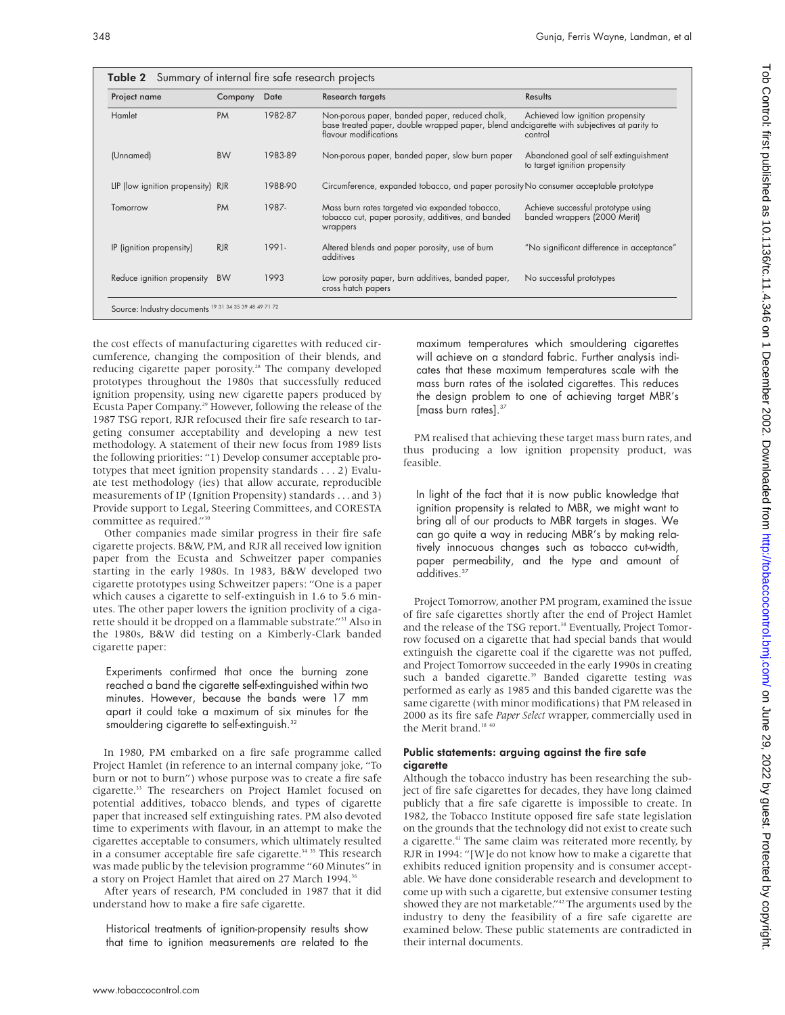Table 2 Summary of internal fire safe research projects Project name Company Date Research targets Results Results Hamlet **PM** 1982-87 Non-porous paper, banded paper, reduced chalk base treated paper, double wrapped paper, blend and cigarette with subjectives at parity to flavour modifications Achieved low ignition propensity control (Unnamed) BW 1983-89 Non-porous paper, banded paper, slow burn paper Abandoned goal of self extinguishment to target ignition propensity LIP (low ignition propensity) RJR 1988-90 Circumference, expanded tobacco, and paper porosityNo consumer acceptable prototype Tomorrow PM 1987- Mass burn rates targeted via expanded tobacco, tobacco cut, paper porosity, additives, and banded wrappers Achieve successful prototype using banded wrappers (2000 Merit) IP (ignition propensity) RJR 1991- Altered blends and paper porosity, use of burn additives "No significant difference in acceptance" Reduce ignition propensity BW 1993 Low porosity paper, burn additives, banded paper, cross hatch papers No successful prototypes Source: Industry documents <sup>19 31</sup> <sup>34</sup> <sup>35</sup> <sup>39</sup> <sup>48</sup> <sup>49</sup> <sup>71</sup> <sup>72</sup>

the cost effects of manufacturing cigarettes with reduced circumference, changing the composition of their blends, and reducing cigarette paper porosity.<sup>28</sup> The company developed prototypes throughout the 1980s that successfully reduced ignition propensity, using new cigarette papers produced by Ecusta Paper Company.<sup>29</sup> However, following the release of the 1987 TSG report, RJR refocused their fire safe research to targeting consumer acceptability and developing a new test methodology. A statement of their new focus from 1989 lists the following priorities: "1) Develop consumer acceptable prototypes that meet ignition propensity standards . . . 2) Evaluate test methodology (ies) that allow accurate, reproducible measurements of IP (Ignition Propensity) standards . . . and 3) Provide support to Legal, Steering Committees, and CORESTA committee as required."<sup>30</sup>

Other companies made similar progress in their fire safe cigarette projects. B&W, PM, and RJR all received low ignition paper from the Ecusta and Schweitzer paper companies starting in the early 1980s. In 1983, B&W developed two cigarette prototypes using Schweitzer papers: "One is a paper which causes a cigarette to self-extinguish in 1.6 to 5.6 minutes. The other paper lowers the ignition proclivity of a cigarette should it be dropped on a flammable substrate."<sup>31</sup> Also in the 1980s, B&W did testing on a Kimberly-Clark banded cigarette paper:

Experiments confirmed that once the burning zone reached a band the cigarette self-extinguished within two minutes. However, because the bands were 17 mm apart it could take a maximum of six minutes for the smouldering cigarette to self-extinguish.<sup>32</sup>

In 1980, PM embarked on a fire safe programme called Project Hamlet (in reference to an internal company joke, "To burn or not to burn") whose purpose was to create a fire safe cigarette.33 The researchers on Project Hamlet focused on potential additives, tobacco blends, and types of cigarette paper that increased self extinguishing rates. PM also devoted time to experiments with flavour, in an attempt to make the cigarettes acceptable to consumers, which ultimately resulted in a consumer acceptable fire safe cigarette.<sup>34 35</sup> This research was made public by the television programme "60 Minutes" in a story on Project Hamlet that aired on 27 March 1994.<sup>36</sup>

After years of research, PM concluded in 1987 that it did understand how to make a fire safe cigarette.

Historical treatments of ignition-propensity results show that time to ignition measurements are related to the maximum temperatures which smouldering cigarettes will achieve on a standard fabric. Further analysis indicates that these maximum temperatures scale with the mass burn rates of the isolated cigarettes. This reduces the design problem to one of achieving target MBR's [mass burn rates].37

PM realised that achieving these target mass burn rates, and thus producing a low ignition propensity product, was feasible.

In light of the fact that it is now public knowledge that ignition propensity is related to MBR, we might want to bring all of our products to MBR targets in stages. We can go quite a way in reducing MBR's by making relatively innocuous changes such as tobacco cut-width, paper permeability, and the type and amount of additives.<sup>37</sup>

Project Tomorrow, another PM program, examined the issue of fire safe cigarettes shortly after the end of Project Hamlet and the release of the TSG report.<sup>38</sup> Eventually, Project Tomorrow focused on a cigarette that had special bands that would extinguish the cigarette coal if the cigarette was not puffed, and Project Tomorrow succeeded in the early 1990s in creating such a banded cigarette.<sup>39</sup> Banded cigarette testing was performed as early as 1985 and this banded cigarette was the same cigarette (with minor modifications) that PM released in 2000 as its fire safe *Paper Select* wrapper, commercially used in the Merit brand.<sup>18 40</sup>

#### Public statements: arguing against the fire safe cigarette

Although the tobacco industry has been researching the subject of fire safe cigarettes for decades, they have long claimed publicly that a fire safe cigarette is impossible to create. In 1982, the Tobacco Institute opposed fire safe state legislation on the grounds that the technology did not exist to create such a cigarette.<sup>41</sup> The same claim was reiterated more recently, by RJR in 1994: "[W]e do not know how to make a cigarette that exhibits reduced ignition propensity and is consumer acceptable. We have done considerable research and development to come up with such a cigarette, but extensive consumer testing showed they are not marketable."42 The arguments used by the industry to deny the feasibility of a fire safe cigarette are examined below. These public statements are contradicted in their internal documents.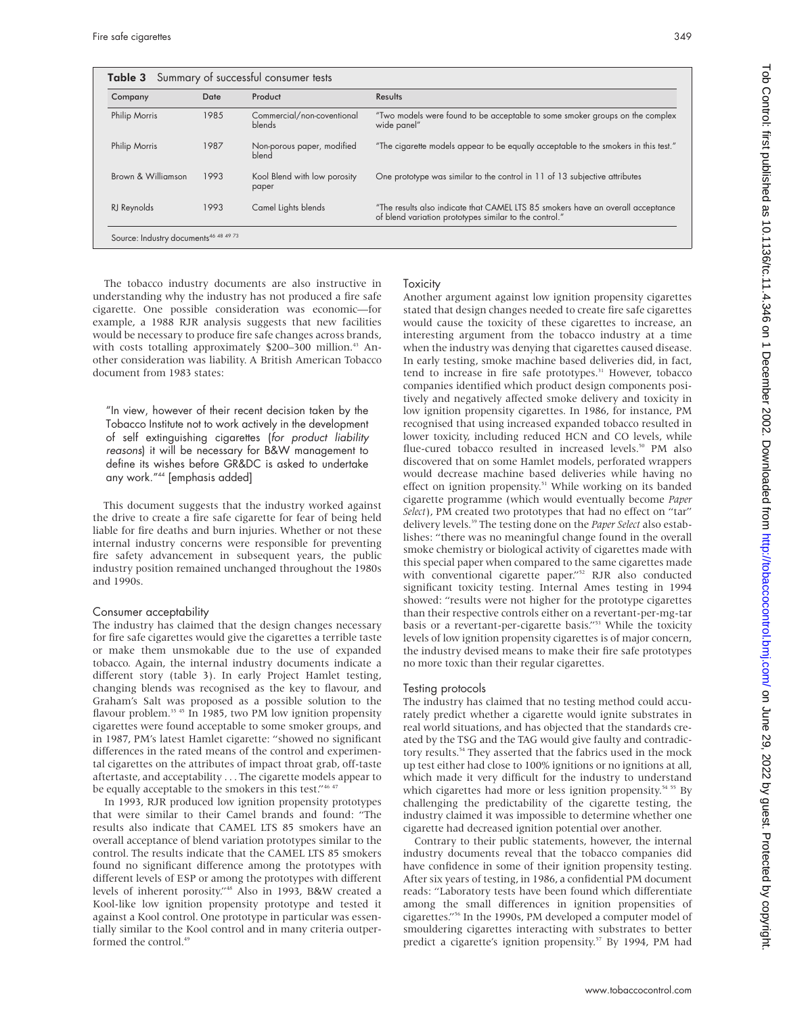| <b>Table 3</b> Summary of successful consumer tests |      |                                                                                                                                                                                                                                                                                                                                                                           |                                                                                                                                                                                                                                                                                                                               |  |  |
|-----------------------------------------------------|------|---------------------------------------------------------------------------------------------------------------------------------------------------------------------------------------------------------------------------------------------------------------------------------------------------------------------------------------------------------------------------|-------------------------------------------------------------------------------------------------------------------------------------------------------------------------------------------------------------------------------------------------------------------------------------------------------------------------------|--|--|
| Company                                             | Date | Product                                                                                                                                                                                                                                                                                                                                                                   | Results                                                                                                                                                                                                                                                                                                                       |  |  |
| Philip Morris                                       | 1985 | Commercial/non-coventional<br>blends                                                                                                                                                                                                                                                                                                                                      | "Two models were found to be acceptable to some smoker groups on the complex<br>wide panel"                                                                                                                                                                                                                                   |  |  |
| Philip Morris                                       | 1987 | Non-porous paper, modified<br>blend                                                                                                                                                                                                                                                                                                                                       | "The cigarette models appear to be equally acceptable to the smokers in this test."                                                                                                                                                                                                                                           |  |  |
| Brown & Williamson                                  | 1993 | Kool Blend with low porosity<br>paper                                                                                                                                                                                                                                                                                                                                     | One prototype was similar to the control in 11 of 13 subjective attributes                                                                                                                                                                                                                                                    |  |  |
| RJ Reynolds                                         | 1993 | Camel Lights blends                                                                                                                                                                                                                                                                                                                                                       | "The results also indicate that CAMEL LTS 85 smokers have an overall acceptance<br>of blend variation prototypes similar to the control."                                                                                                                                                                                     |  |  |
| Source: Industry documents <sup>46 48 49 73</sup>   |      |                                                                                                                                                                                                                                                                                                                                                                           |                                                                                                                                                                                                                                                                                                                               |  |  |
|                                                     |      |                                                                                                                                                                                                                                                                                                                                                                           |                                                                                                                                                                                                                                                                                                                               |  |  |
|                                                     |      | The tobacco industry documents are also instructive in<br>derstanding why the industry has not produced a fire safe<br>arette. One possible consideration was economic—for<br>ample, a 1988 RJR analysis suggests that new facilities<br>uld be necessary to produce fire safe changes across brands,<br>the costs totalling approximately $$200, 200$ million $^{43}$ Ap | <b>Toxicity</b><br>Another argument against low ignition propensity cigare<br>stated that design changes needed to create fire safe cigare<br>would cause the toxicity of these cigarettes to increase,<br>interesting argument from the tobacco industry at a t<br>when the industry was denying that signature several disc |  |  |

The tobacco indu understanding why cigarette. One possi example, a 1988 R would be necessary t with costs totalling approximately \$200–300 million.<sup>43</sup> Another consideration was liability. A British American Tobacco document from 1983 states:

"In view, however of their recent decision taken by the Tobacco Institute not to work actively in the development of self extinguishing cigarettes (for product liability reasons) it will be necessary for B&W management to define its wishes before GR&DC is asked to undertake any work."44 [emphasis added]

This document suggests that the industry worked against the drive to create a fire safe cigarette for fear of being held liable for fire deaths and burn injuries. Whether or not these internal industry concerns were responsible for preventing fire safety advancement in subsequent years, the public industry position remained unchanged throughout the 1980s and 1990s.

#### Consumer acceptability

The industry has claimed that the design changes necessary for fire safe cigarettes would give the cigarettes a terrible taste or make them unsmokable due to the use of expanded tobacco. Again, the internal industry documents indicate a different story (table 3). In early Project Hamlet testing, changing blends was recognised as the key to flavour, and Graham's Salt was proposed as a possible solution to the flavour problem.<sup>35 45</sup> In 1985, two PM low ignition propensity cigarettes were found acceptable to some smoker groups, and in 1987, PM's latest Hamlet cigarette: "showed no significant differences in the rated means of the control and experimental cigarettes on the attributes of impact throat grab, off-taste aftertaste, and acceptability . . . The cigarette models appear to be equally acceptable to the smokers in this test."<sup>46 4</sup>

In 1993, RJR produced low ignition propensity prototypes that were similar to their Camel brands and found: "The results also indicate that CAMEL LTS 85 smokers have an overall acceptance of blend variation prototypes similar to the control. The results indicate that the CAMEL LTS 85 smokers found no significant difference among the prototypes with different levels of ESP or among the prototypes with different levels of inherent porosity."48 Also in 1993, B&W created a Kool-like low ignition propensity prototype and tested it against a Kool control. One prototype in particular was essentially similar to the Kool control and in many criteria outperformed the control.<sup>4</sup>

ensity cigarettes re safe cigarettes to increase, an lustry at a time when the industry was denying that cigarettes caused disease. In early testing, smoke machine based deliveries did, in fact, tend to increase in fire safe prototypes.<sup>31</sup> However, tobacco companies identified which product design components positively and negatively affected smoke delivery and toxicity in low ignition propensity cigarettes. In 1986, for instance, PM recognised that using increased expanded tobacco resulted in lower toxicity, including reduced HCN and CO levels, while flue-cured tobacco resulted in increased levels.<sup>50</sup> PM also discovered that on some Hamlet models, perforated wrappers would decrease machine based deliveries while having no effect on ignition propensity.<sup>51</sup> While working on its banded cigarette programme (which would eventually become *Paper Select*), PM created two prototypes that had no effect on "tar" delivery levels.39 The testing done on the *Paper Select* also establishes: "there was no meaningful change found in the overall smoke chemistry or biological activity of cigarettes made with this special paper when compared to the same cigarettes made with conventional cigarette paper."52 RJR also conducted significant toxicity testing. Internal Ames testing in 1994 showed: "results were not higher for the prototype cigarettes than their respective controls either on a revertant-per-mg-tar basis or a revertant-per-cigarette basis."53 While the toxicity levels of low ignition propensity cigarettes is of major concern, the industry devised means to make their fire safe prototypes no more toxic than their regular cigarettes.

#### Testing protocols

The industry has claimed that no testing method could accurately predict whether a cigarette would ignite substrates in real world situations, and has objected that the standards created by the TSG and the TAG would give faulty and contradictory results.<sup>54</sup> They asserted that the fabrics used in the mock up test either had close to 100% ignitions or no ignitions at all, which made it very difficult for the industry to understand which cigarettes had more or less ignition propensity.<sup>54 55</sup> By challenging the predictability of the cigarette testing, the industry claimed it was impossible to determine whether one cigarette had decreased ignition potential over another.

Contrary to their public statements, however, the internal industry documents reveal that the tobacco companies did have confidence in some of their ignition propensity testing. After six years of testing, in 1986, a confidential PM document reads: "Laboratory tests have been found which differentiate among the small differences in ignition propensities of cigarettes."56 In the 1990s, PM developed a computer model of smouldering cigarettes interacting with substrates to better predict a cigarette's ignition propensity.<sup>57</sup> By 1994, PM had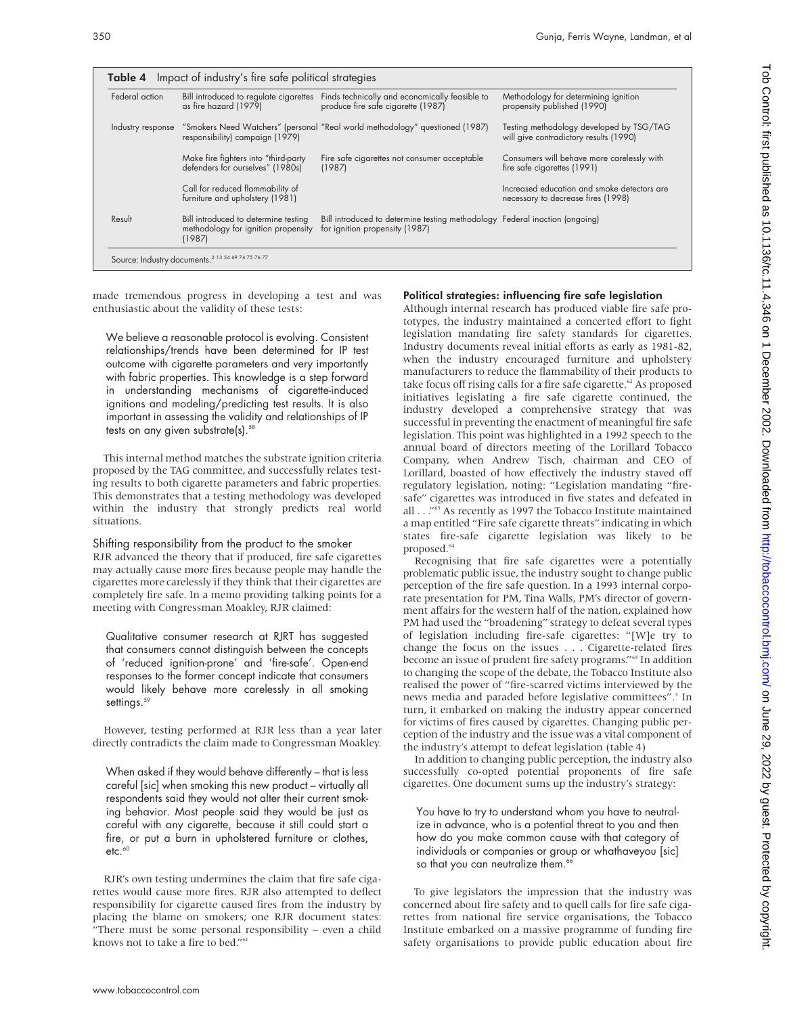| Federal action    | Bill introduced to regulate cigarettes<br>as fire hazard (1979)                       | Finds technically and economically feasible to<br>produce fire safe cigarette (1987)                          | Methodology for determining ignition<br>propensity published (1990)                |
|-------------------|---------------------------------------------------------------------------------------|---------------------------------------------------------------------------------------------------------------|------------------------------------------------------------------------------------|
| Industry response | responsibility) campaign (1979)                                                       | "Smokers Need Watchers" (personal "Real world methodology" questioned (1987)                                  | Testing methodology developed by TSG/TAG<br>will give contradictory results (1990) |
|                   | Make fire fighters into "third-party<br>defenders for ourselves" (1980s)              | Fire safe cigarettes not consumer acceptable<br>(1987)                                                        | Consumers will behave more carelessly with<br>fire safe cigarettes (1991)          |
|                   | Call for reduced flammability of<br>furniture and upholstery (1981)                   |                                                                                                               | Increased education and smoke detectors are<br>necessary to decrease fires (1998)  |
| Result            | Bill introduced to determine testing<br>methodology for ignition propensity<br>(1987) | Bill introduced to determine testing methodology Federal inaction (ongoing)<br>for ignition propensity (1987) |                                                                                    |

made tremendous progress in developing a test and was enthusiastic about the validity of these tests:

We believe a reasonable protocol is evolving. Consistent relationships/trends have been determined for IP test outcome with cigarette parameters and very importantly with fabric properties. This knowledge is a step forward in understanding mechanisms of cigarette-induced ignitions and modeling/predicting test results. It is also important in assessing the validity and relationships of IP tests on any given substrate(s).<sup>58</sup>

This internal method matches the substrate ignition criteria proposed by the TAG committee, and successfully relates testing results to both cigarette parameters and fabric properties. This demonstrates that a testing methodology was developed within the industry that strongly predicts real world situations.

Shifting responsibility from the product to the smoker RJR advanced the theory that if produced, fire safe cigarettes may actually cause more fires because people may handle the cigarettes more carelessly if they think that their cigarettes are completely fire safe. In a memo providing talking points for a meeting with Congressman Moakley, RJR claimed:

Qualitative consumer research at RJRT has suggested that consumers cannot distinguish between the concepts of 'reduced ignition-prone' and 'fire-safe'. Open-end responses to the former concept indicate that consumers would likely behave more carelessly in all smoking settings.<sup>59</sup>

However, testing performed at RJR less than a year later directly contradicts the claim made to Congressman Moakley.

When asked if they would behave differently – that is less careful [sic] when smoking this new product – virtually all respondents said they would not alter their current smoking behavior. Most people said they would be just as careful with any cigarette, because it still could start a fire, or put a burn in upholstered furniture or clothes,  $etc.<sup>60</sup>$ 

RJR's own testing undermines the claim that fire safe cigarettes would cause more fires. RJR also attempted to deflect responsibility for cigarette caused fires from the industry by placing the blame on smokers; one RJR document states: "There must be some personal responsibility – even a child knows not to take a fire to bed."<sup>61</sup>

#### Political strategies: influencing fire safe legislation

Although internal research has produced viable fire safe prototypes, the industry maintained a concerted effort to fight legislation mandating fire safety standards for cigarettes. Industry documents reveal initial efforts as early as 1981-82, when the industry encouraged furniture and upholstery manufacturers to reduce the flammability of their products to take focus off rising calls for a fire safe cigarette. $62$  As proposed initiatives legislating a fire safe cigarette continued, the industry developed a comprehensive strategy that was successful in preventing the enactment of meaningful fire safe legislation. This point was highlighted in a 1992 speech to the annual board of directors meeting of the Lorillard Tobacco Company, when Andrew Tisch, chairman and CEO of Lorillard, boasted of how effectively the industry staved off regulatory legislation, noting: "Legislation mandating "firesafe" cigarettes was introduced in five states and defeated in all . . ."63 As recently as 1997 the Tobacco Institute maintained a map entitled "Fire safe cigarette threats" indicating in which states fire-safe cigarette legislation was likely to be proposed.<sup>64</sup>

Recognising that fire safe cigarettes were a potentially problematic public issue, the industry sought to change public perception of the fire safe question. In a 1993 internal corporate presentation for PM, Tina Walls, PM's director of government affairs for the western half of the nation, explained how PM had used the "broadening" strategy to defeat several types of legislation including fire-safe cigarettes: "[W]e try to change the focus on the issues . . . Cigarette-related fires become an issue of prudent fire safety programs."<sup>65</sup> In addition to changing the scope of the debate, the Tobacco Institute also realised the power of "fire-scarred victims interviewed by the news media and paraded before legislative committees".<sup>3</sup> In turn, it embarked on making the industry appear concerned for victims of fires caused by cigarettes. Changing public perception of the industry and the issue was a vital component of the industry's attempt to defeat legislation (table 4)

In addition to changing public perception, the industry also successfully co-opted potential proponents of fire safe cigarettes. One document sums up the industry's strategy:

You have to try to understand whom you have to neutralize in advance, who is a potential threat to you and then how do you make common cause with that category of individuals or companies or group or whathaveyou [sic] so that you can neutralize them.<sup>66</sup>

To give legislators the impression that the industry was concerned about fire safety and to quell calls for fire safe cigarettes from national fire service organisations, the Tobacco Institute embarked on a massive programme of funding fire safety organisations to provide public education about fire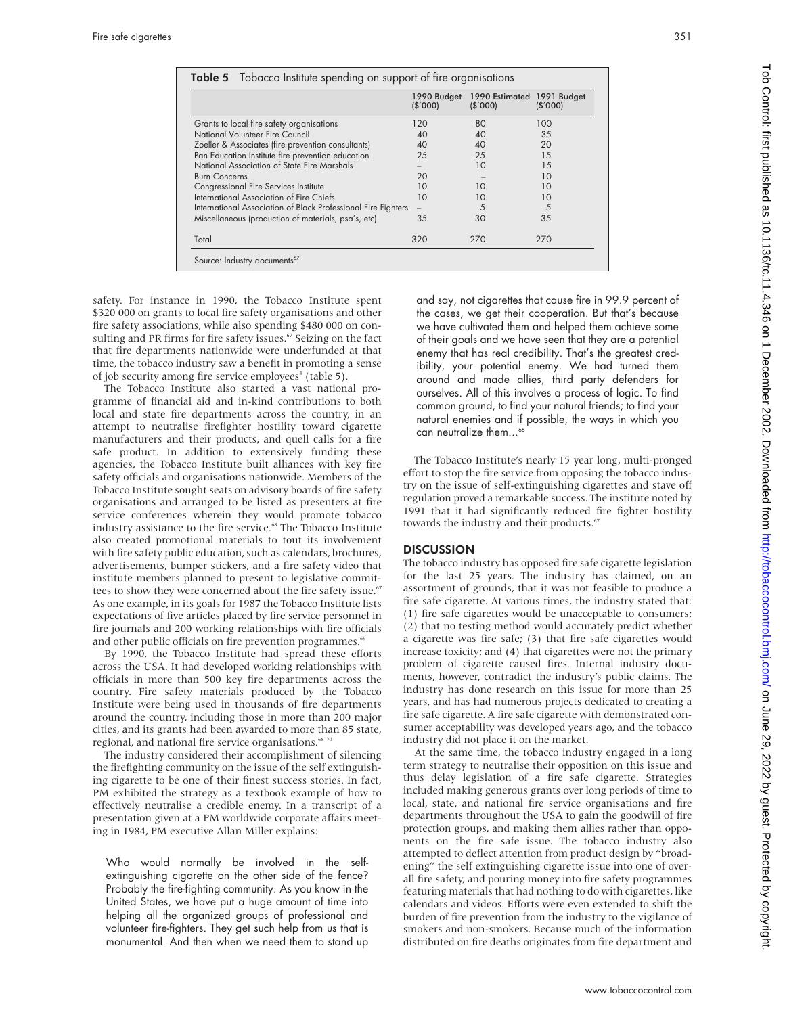| Table 5 Tobacco Institute spending on support of fire organisations |                        |                           |                        |  |  |  |  |
|---------------------------------------------------------------------|------------------------|---------------------------|------------------------|--|--|--|--|
|                                                                     | 1990 Budget<br>(5'000) | 1990 Estimated<br>(S'000) | 1991 Budget<br>(S'000) |  |  |  |  |
| Grants to local fire safety organisations                           | 120                    | 80                        | 100                    |  |  |  |  |
| National Volunteer Fire Council                                     | 40                     | 40                        | 35                     |  |  |  |  |
| Zoeller & Associates (fire prevention consultants)                  | 40                     | 40                        | 20                     |  |  |  |  |
| Pan Education Institute fire prevention education                   | 25                     | 25                        | 15                     |  |  |  |  |
| National Association of State Fire Marshals                         |                        | 10                        | 15                     |  |  |  |  |
| <b>Burn Concerns</b>                                                | 20                     |                           | 10                     |  |  |  |  |
| Congressional Fire Services Institute                               | 10                     | 10                        | 10                     |  |  |  |  |
| International Association of Fire Chiefs                            | 10                     | 10                        | 10                     |  |  |  |  |
| International Association of Black Professional Fire Fighters       | -                      |                           | 5                      |  |  |  |  |
| Miscellaneous (production of materials, psa's, etc)                 | 35                     | 30                        | 35                     |  |  |  |  |
| Total                                                               | 320                    | 270                       | 270                    |  |  |  |  |
| Source: Industry documents <sup>67</sup>                            |                        |                           |                        |  |  |  |  |

safety. For instance in 1990, the Tobacco Institute spent \$320 000 on grants to local fire safety organisations and other fire safety associations, while also spending \$480 000 on consulting and PR firms for fire safety issues.<sup>67</sup> Seizing on the fact that fire departments nationwide were underfunded at that time, the tobacco industry saw a benefit in promoting a sense of job security among fire service employees<sup>3</sup> (table 5).

The Tobacco Institute also started a vast national programme of financial aid and in-kind contributions to both local and state fire departments across the country, in an attempt to neutralise firefighter hostility toward cigarette manufacturers and their products, and quell calls for a fire safe product. In addition to extensively funding these agencies, the Tobacco Institute built alliances with key fire safety officials and organisations nationwide. Members of the Tobacco Institute sought seats on advisory boards of fire safety organisations and arranged to be listed as presenters at fire service conferences wherein they would promote tobacco industry assistance to the fire service.<sup>68</sup> The Tobacco Institute also created promotional materials to tout its involvement with fire safety public education, such as calendars, brochures, advertisements, bumper stickers, and a fire safety video that institute members planned to present to legislative committees to show they were concerned about the fire safety issue.<sup>67</sup> As one example, in its goals for 1987 the Tobacco Institute lists expectations of five articles placed by fire service personnel in fire journals and 200 working relationships with fire officials and other public officials on fire prevention programmes.<sup>69</sup>

By 1990, the Tobacco Institute had spread these efforts across the USA. It had developed working relationships with officials in more than 500 key fire departments across the country. Fire safety materials produced by the Tobacco Institute were being used in thousands of fire departments around the country, including those in more than 200 major cities, and its grants had been awarded to more than 85 state, regional, and national fire service organisations.<sup>68</sup>

The industry considered their accomplishment of silencing the firefighting community on the issue of the self extinguishing cigarette to be one of their finest success stories. In fact, PM exhibited the strategy as a textbook example of how to effectively neutralise a credible enemy. In a transcript of a presentation given at a PM worldwide corporate affairs meeting in 1984, PM executive Allan Miller explains:

Who would normally be involved in the selfextinguishing cigarette on the other side of the fence? Probably the fire-fighting community. As you know in the United States, we have put a huge amount of time into helping all the organized groups of professional and volunteer fire-fighters. They get such help from us that is monumental. And then when we need them to stand up and say, not cigarettes that cause fire in 99.9 percent of the cases, we get their cooperation. But that's because we have cultivated them and helped them achieve some of their goals and we have seen that they are a potential enemy that has real credibility. That's the greatest credibility, your potential enemy. We had turned them around and made allies, third party defenders for ourselves. All of this involves a process of logic. To find common ground, to find your natural friends; to find your natural enemies and if possible, the ways in which you can neutralize them...<sup>66</sup>

The Tobacco Institute's nearly 15 year long, multi-pronged effort to stop the fire service from opposing the tobacco industry on the issue of self-extinguishing cigarettes and stave off regulation proved a remarkable success. The institute noted by 1991 that it had significantly reduced fire fighter hostility towards the industry and their products.<sup>67</sup>

#### **DISCUSSION**

The tobacco industry has opposed fire safe cigarette legislation for the last 25 years. The industry has claimed, on an assortment of grounds, that it was not feasible to produce a fire safe cigarette. At various times, the industry stated that: (1) fire safe cigarettes would be unacceptable to consumers; (2) that no testing method would accurately predict whether a cigarette was fire safe; (3) that fire safe cigarettes would increase toxicity; and (4) that cigarettes were not the primary problem of cigarette caused fires. Internal industry documents, however, contradict the industry's public claims. The industry has done research on this issue for more than 25 years, and has had numerous projects dedicated to creating a fire safe cigarette. A fire safe cigarette with demonstrated consumer acceptability was developed years ago, and the tobacco industry did not place it on the market.

At the same time, the tobacco industry engaged in a long term strategy to neutralise their opposition on this issue and thus delay legislation of a fire safe cigarette. Strategies included making generous grants over long periods of time to local, state, and national fire service organisations and fire departments throughout the USA to gain the goodwill of fire protection groups, and making them allies rather than opponents on the fire safe issue. The tobacco industry also attempted to deflect attention from product design by "broadening" the self extinguishing cigarette issue into one of overall fire safety, and pouring money into fire safety programmes featuring materials that had nothing to do with cigarettes, like calendars and videos. Efforts were even extended to shift the burden of fire prevention from the industry to the vigilance of smokers and non-smokers. Because much of the information distributed on fire deaths originates from fire department and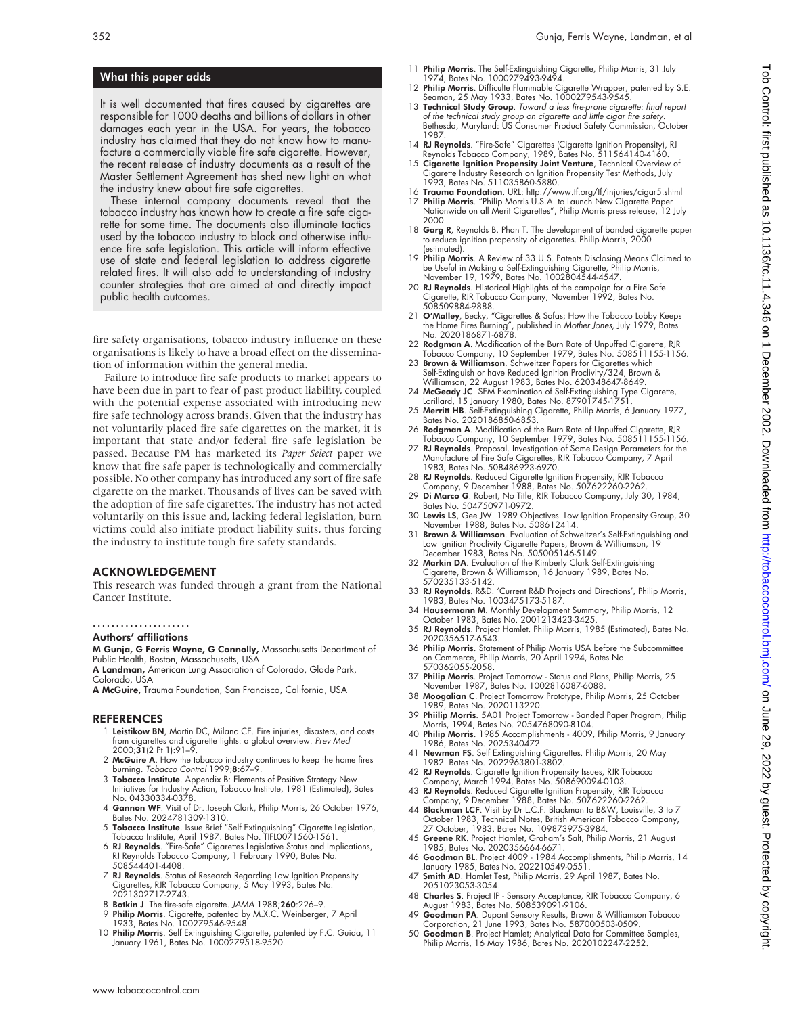#### What this paper adds

It is well documented that fires caused by cigarettes are responsible for 1000 deaths and billions of dollars in other damages each year in the USA. For years, the tobacco industry has claimed that they do not know how to manufacture a commercially viable fire safe cigarette. However, the recent release of industry documents as a result of the Master Settlement Agreement has shed new light on what the industry knew about fire safe cigarettes.

These internal company documents reveal that the tobacco industry has known how to create a fire safe cigarette for some time. The documents also illuminate tactics used by the tobacco industry to block and otherwise influence fire safe legislation. This article will inform effective use of state and federal legislation to address cigarette related fires. It will also add to understanding of industry counter strategies that are aimed at and directly impact public health outcomes.

fire safety organisations, tobacco industry influence on these organisations is likely to have a broad effect on the dissemination of information within the general media.

Failure to introduce fire safe products to market appears to have been due in part to fear of past product liability, coupled with the potential expense associated with introducing new fire safe technology across brands. Given that the industry has not voluntarily placed fire safe cigarettes on the market, it is important that state and/or federal fire safe legislation be passed. Because PM has marketed its *Paper Select* paper we know that fire safe paper is technologically and commercially possible. No other company has introduced any sort of fire safe cigarette on the market. Thousands of lives can be saved with the adoption of fire safe cigarettes. The industry has not acted voluntarily on this issue and, lacking federal legislation, burn victims could also initiate product liability suits, thus forcing the industry to institute tough fire safety standards.

#### ACKNOWLEDGEMENT

This research was funded through a grant from the National Cancer Institute.

#### .....................

Authors' affiliations

M Gunja, G Ferris Wayne, G Connolly, Massachusetts Department of Public Health, Boston, Massachusetts, USA

A Landman, American Lung Association of Colorado, Glade Park, Colorado, USA

A McGuire, Trauma Foundation, San Francisco, California, USA

#### REFERENCES

- 1 Leistikow BN, Martin DC, Milano CE. Fire injuries, disasters, and costs from cigarettes and cigarette lights: a global overview. Prev Med 2000;31(2 Pt 1):91–9.
- 2 McGuire A. How the tobacco industry continues to keep the home fires burning. Tobacco Control 1999;8:67–9.
- 3 Tobacco Institute. Appendix B: Elements of Positive Strategy New Initiatives for Industry Action, Tobacco Institute, 1981 (Estimated), Bates No. 04330334-0378.
- 4 Gannon WF. Visit of Dr. Joseph Clark, Philip Morris, 26 October 1976,
- Bates No. 2024781309-1310.<br>5 **Tobacco Institute**. Issue Brief "Self Extinguishing" Cigarette Legislation,<br>To**bacco Institute, April 1987. Bates No. TIFL0071560-1561.**<br>6 **RJ Reynolds.** "Fire-Safe" Cigarettes Legislative Sta
- RJ Reynolds Tobacco Company, 1 February 1990, Bates No. 508544401-4408.
- 7 RJ Reynolds. Status of Research Regarding Low Ignition Propensity Cigarettes, RJR Tobacco Company, 5 May 1993, Bates No. 2021302717-2743.
- 8 Botkin J. The fire-safe cigarette. JAMA 1988;260:226–9.
- 9 Philip Morris. Cigarette, patented by M.X.C. Weinberger, 7 April 1933, Bates No. 100279546-9548
- 10 Philip Morris. Self Extinguishing Cigarette, patented by F.C. Guida, 11 January 1961, Bates No. 1000279518-9520.
- 11 Philip Morris. The Self-Extinguishing Cigarette, Philip Morris, 31 July 1974, Bates No. 1000279493-9494.
- 12 Philip Morris. Difficulte Flammable Cigarette Wrapper, patented by S.E. Seaman, 25 May 1933, Bates No. 1000279543-9545.
- 13 **Technical Study Group**. Toward a less fire-prone cigarette: final report of the technical study group on cigarette and little cigar fire safety.<br>Bethesda, Maryland: US Consumer Product Safety Commission, October 1987.
- 14 **RJ Reynolds.** "Fire-Safe" Cigarettes (Cigarette Ignition Propensity), RJ<br>Reynolds Tobacco Company, 1989, Bates No. 511564140-4160.<br>15 **Cigarette Ignition Propensity Joint Venture**, Technical Overview of<br>Cigarette Indus
- 1993, Bates No. 511035860-5880.
- 16 Trauma Foundation. URL: http://www.tf.org/tf/injuries/cigar5.shtml 17 Philip Morris. "Philip Morris U.S.A. to Launch New Cigarette Paper
- Nationwide on all Merit Cigarettes", Philip Morris press release, 12 July 2000.
- 18 Garg R, Reynolds B, Phan T. The development of banded cigarette paper to reduce ignition propensity of cigarettes. Philip Morris, 2000 (estimated).
- 19 Philip Morris. A Review of 33 U.S. Patents Disclosing Means Claimed to be Useful in Making a Self-Extinguishing Cigarette, Philip Morris, November 19, 1979, Bates No. 1002804544-4547.
- 20 RJ Reynolds. Historical Highlights of the campaign for a Fire Safe Cigarette, RJR Tobacco Company, November 1992, Bates No. 508509884-9888.
- 21 O'Malley, Becky, "Cigarettes & Sofas; How the Tobacco Lobby Keeps the Home Fires Burning", published in Mother Jones, July 1979, Bates No. 2020186871-6878.
- 22 Rodgman A. Modification of the Burn Rate of Unpuffed Cigarette, RJR Tobacco Company, 10 September 1979, Bates No. 508511155-1156.<br>23 Brown & Williamson. Schweitzer Papers for Cigarettes which
- Self-Extinguish or have Reduced Ignition Proclivity/324, Brown & Williamson, 22 August 1983, Bates No. 620348647-8649.
- 24 McGeady JC. SEM Examination of Self-Extinguishing Type Cigarette, Lorillard, 15 January 1980, Bates No. 87901745-1751.
- 25 Merritt HB. Self-Extinguishing Cigarette, Philip Morris, 6 January 1977, Bates No. 2020186850-6853.
- 26 Rodgman A. Modification of the Burn Rate of Unpuffed Cigarette, RJR Tobacco Company, 10 September 1979, Bates No. 508511155-1156.<br>27 **RJ Reynolds**. Proposal. Investigation of Some Design Parameters for the
- Manufacture of Fire Safe Cigarettes, RJR Tobacco Company, 7 April 1983, Bates No. 508486923-6970.
- 28 RJ Reynolds. Reduced Cigarette Ignition Propensity, RJR Tobacco Company, 9 December 1988, Bates No. 507622260-2262.
- 
- 29 **Di Marco G**. Robert, No Title, RJR Tobacco Company, July 30, 1984,<br>Bates No. 504750971-0972.<br>30 **Lewis LS**, Gee JW. 1989 Objectives. Low Ignition Propensity Group, 30<br>November 1988, Bates No. 508612414.
- 31 Brown & Williamson. Evaluation of Schweitzer's Self-Extinguishing and Low Ignition Proclivity Cigarette Papers, Brown & Williamson, 19 December 1983, Bates No. 505005146-5149.
- 32 Markin DA. Evaluation of the Kimberly Clark Self-Extinguishing Cigarette, Brown & Williamson, 16 January 1989, Bates No. 570235133-5142.
- 33 RJ Reynolds. R&D. 'Current R&D Projects and Directions', Philip Morris,
- 1983, Bates No. 1003475173-5187. 34 Hausermann M. Monthly Development Summary, Philip Morris, 12 October 1983, Bates No. 2001213423-3425.
- 35 RJ Reynolds. Project Hamlet. Philip Morris, 1985 (Estimated), Bates No. 2020356517-6543.
- 36 Philip Morris. Statement of Philip Morris USA before the Subcommittee on Commerce, Philip Morris, 20 April 1994, Bates No. 570362055-2058.
- 37 Philip Morris. Project Tomorrow Status and Plans, Philip Morris, 25 November 1987, Bates No. 1002816087-6088.
- 38 Moogalian C. Project Tomorrow Prototype, Philip Morris, 25 October
- 1989, Bates No. 2020113220. 39 Phiilip Morris. 5A01 Project Tomorrow Banded Paper Program, Philip Morris, 1994, Bates No. 2054768090-8104.
- 1986, Bates No. 2025340472.
- 41 Newman FS. Self Extinguishing Cigarettes. Philip Morris, 20 May 1982. Bates No. 2022963801-3802.
- 42 RJ Reynolds. Cigarette Ignition Propensity Issues, RJR Tobacco Company, March 1994, Bates No. 508690094-0103.
- 43 RJ Reynolds. Reduced Cigarette Ignition Propensity, RJR Tobacco Company, 9 December 1988, Bates No. 507622260-2262.
- 44 Blackman LCF. Visit by Dr L.C.F. Blackman to B&W, Louisville, 3 to 7 October 1983, Technical Notes, British American Tobacco Company, 27 October, 1983, Bates No. 109873975-3984.
- 
- 45 Greene RK. Project Hamlet, Graham's Salt, Philip Morris, 21 August 1985, Bates No. 2020356664-6671. 46 Goodman BL. Project 4009 1984 Accomplishments, Philip Morris, 14 January 1985, Bates No. 202210549-0551.
- 47 Smith AD. Hamlet Test, Philip Morris, 29 April 1987, Bates No. 2051023053-3054.
- 48 Charles S. Project IP Sensory Acceptance, RJR Tobacco Company, 6 August 1983, Bates No. 508539091-9106.
- 49 Goodman PA. Dupont Sensory Results, Brown & Williamson Tobacco Corporation, 21 June 1993, Bates No. 587000503-0509.
- 50 Goodman B. Project Hamlet; Analytical Data for Committee Samples, Philip Morris, 16 May 1986, Bates No. 2020102247-2252.

# 40 Philip Morris. 1985 Accomplishments - 4009, Philip Morris, 9 January